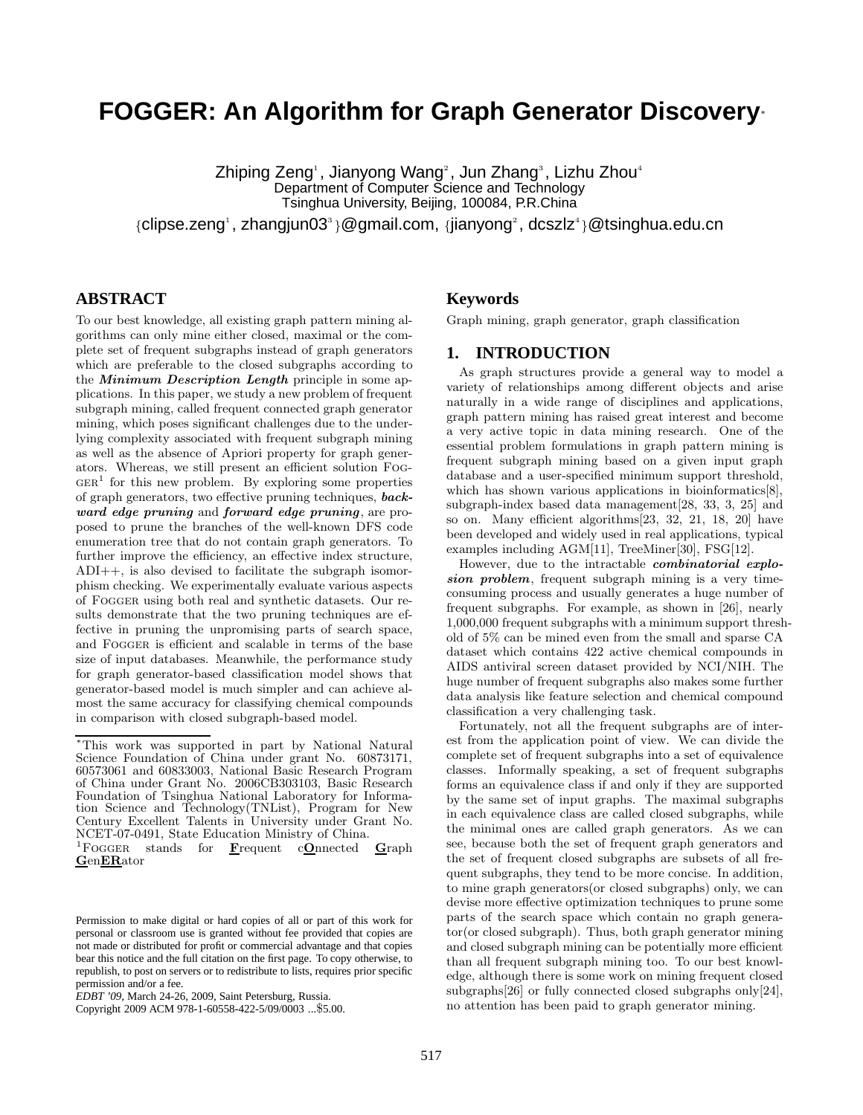# **FOGGER: An Algorithm for Graph Generator Discovery**<sup>∗</sup>

Zhiping Zeng $^1$ , Jianyong Wang $^2$ , Jun Zhang $^3$ , Lizhu Zhou $^4$ Department of Computer Science and Technology Tsinghua University, Beijing, 100084, P.R.China

{clipse.zeng<sup>1</sup>, zhangjun03<sup>3</sup>}@gmail.com, {jianyong<sup>2</sup>, dcszlz<sup>4</sup>}@tsinghua.edu.cn

# **ABSTRACT**

To our best knowledge, all existing graph pattern mining algorithms can only mine either closed, maximal or the complete set of frequent subgraphs instead of graph generators which are preferable to the closed subgraphs according to the *Minimum Description Length* principle in some applications. In this paper, we study a new problem of frequent subgraph mining, called frequent connected graph generator mining, which poses significant challenges due to the underlying complexity associated with frequent subgraph mining as well as the absence of Apriori property for graph generators. Whereas, we still present an efficient solution Fog- $GER<sup>1</sup>$  for this new problem. By exploring some properties of graph generators, two effective pruning techniques, backward edge pruning and forward edge pruning, are proposed to prune the branches of the well-known DFS code enumeration tree that do not contain graph generators. To further improve the efficiency, an effective index structure, ADI++, is also devised to facilitate the subgraph isomorphism checking. We experimentally evaluate various aspects of Fogger using both real and synthetic datasets. Our results demonstrate that the two pruning techniques are effective in pruning the unpromising parts of search space, and FOGGER is efficient and scalable in terms of the base size of input databases. Meanwhile, the performance study for graph generator-based classification model shows that generator-based model is much simpler and can achieve almost the same accuracy for classifying chemical compounds in comparison with closed subgraph-based model.

<sup>1</sup>FOGGER stands for **F**requent c**O**nnected **G**raph GenERator

# **Keywords**

Graph mining, graph generator, graph classification

# **1. INTRODUCTION**

As graph structures provide a general way to model a variety of relationships among different objects and arise naturally in a wide range of disciplines and applications, graph pattern mining has raised great interest and become a very active topic in data mining research. One of the essential problem formulations in graph pattern mining is frequent subgraph mining based on a given input graph database and a user-specified minimum support threshold, which has shown various applications in bioinformatics[8], subgraph-index based data management[28, 33, 3, 25] and so on. Many efficient algorithms[23, 32, 21, 18, 20] have been developed and widely used in real applications, typical examples including AGM[11], TreeMiner[30], FSG[12].

However, due to the intractable *combinatorial explo*sion problem, frequent subgraph mining is a very timeconsuming process and usually generates a huge number of frequent subgraphs. For example, as shown in [26], nearly 1,000,000 frequent subgraphs with a minimum support threshold of 5% can be mined even from the small and sparse CA dataset which contains 422 active chemical compounds in AIDS antiviral screen dataset provided by NCI/NIH. The huge number of frequent subgraphs also makes some further data analysis like feature selection and chemical compound classification a very challenging task.

Fortunately, not all the frequent subgraphs are of interest from the application point of view. We can divide the complete set of frequent subgraphs into a set of equivalence classes. Informally speaking, a set of frequent subgraphs forms an equivalence class if and only if they are supported by the same set of input graphs. The maximal subgraphs in each equivalence class are called closed subgraphs, while the minimal ones are called graph generators. As we can see, because both the set of frequent graph generators and the set of frequent closed subgraphs are subsets of all frequent subgraphs, they tend to be more concise. In addition, to mine graph generators(or closed subgraphs) only, we can devise more effective optimization techniques to prune some parts of the search space which contain no graph generator(or closed subgraph). Thus, both graph generator mining and closed subgraph mining can be potentially more efficient than all frequent subgraph mining too. To our best knowledge, although there is some work on mining frequent closed subgraphs[26] or fully connected closed subgraphs only[24], no attention has been paid to graph generator mining.

<sup>∗</sup>This work was supported in part by National Natural Science Foundation of China under grant No. 60873171, 60573061 and 60833003, National Basic Research Program of China under Grant No. 2006CB303103, Basic Research Foundation of Tsinghua National Laboratory for Information Science and Technology(TNList), Program for New Century Excellent Talents in University under Grant No. NCET-07-0491, State Education Ministry of China.

Permission to make digital or hard copies of all or part of this work for personal or classroom use is granted without fee provided that copies are not made or distributed for profit or commercial advantage and that copies bear this notice and the full citation on the first page. To copy otherwise, to republish, to post on servers or to redistribute to lists, requires prior specific permission and/or a fee.

*EDBT '09,* March 24-26, 2009, Saint Petersburg, Russia.

Copyright 2009 ACM 978-1-60558-422-5/09/0003 ...\$5.00.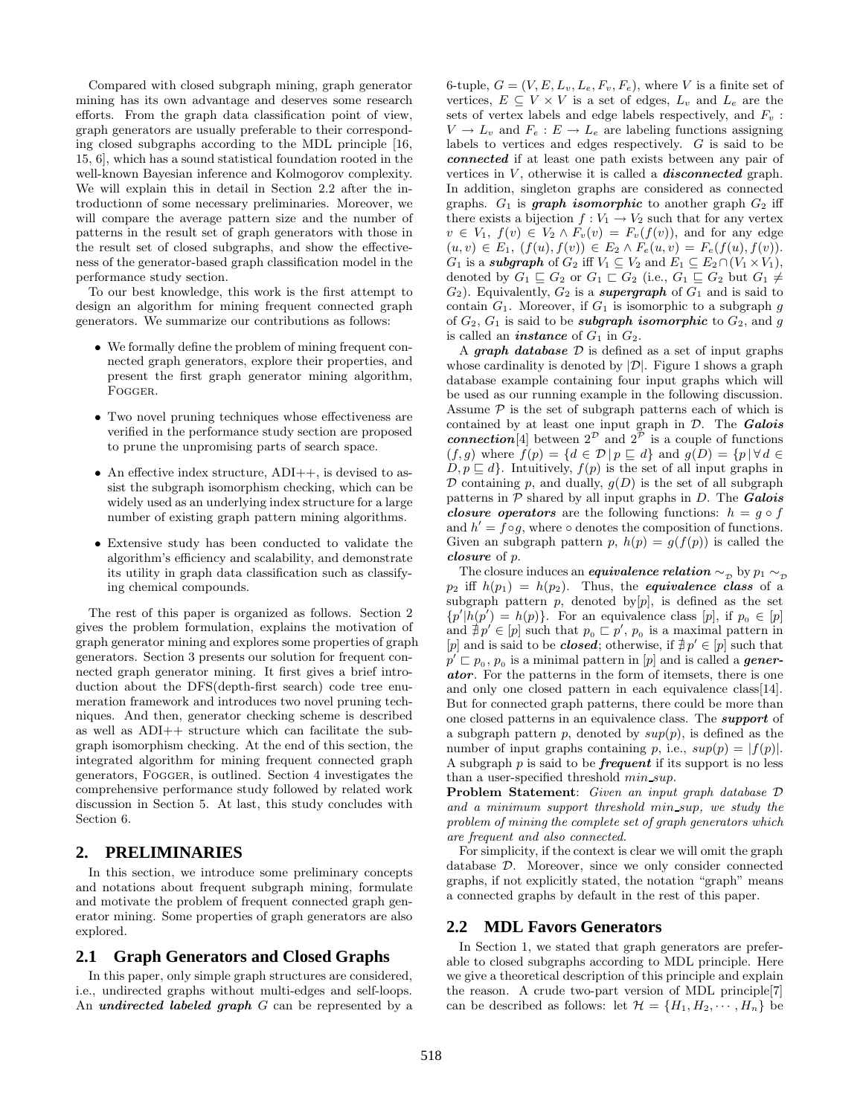Compared with closed subgraph mining, graph generator mining has its own advantage and deserves some research efforts. From the graph data classification point of view, graph generators are usually preferable to their corresponding closed subgraphs according to the MDL principle [16, 15, 6], which has a sound statistical foundation rooted in the well-known Bayesian inference and Kolmogorov complexity. We will explain this in detail in Section 2.2 after the introductionn of some necessary preliminaries. Moreover, we will compare the average pattern size and the number of patterns in the result set of graph generators with those in the result set of closed subgraphs, and show the effectiveness of the generator-based graph classification model in the performance study section.

To our best knowledge, this work is the first attempt to design an algorithm for mining frequent connected graph generators. We summarize our contributions as follows:

- We formally define the problem of mining frequent connected graph generators, explore their properties, and present the first graph generator mining algorithm, Fogger.
- Two novel pruning techniques whose effectiveness are verified in the performance study section are proposed to prune the unpromising parts of search space.
- An effective index structure, ADI++, is devised to assist the subgraph isomorphism checking, which can be widely used as an underlying index structure for a large number of existing graph pattern mining algorithms.
- Extensive study has been conducted to validate the algorithm's efficiency and scalability, and demonstrate its utility in graph data classification such as classifying chemical compounds.

The rest of this paper is organized as follows. Section 2 gives the problem formulation, explains the motivation of graph generator mining and explores some properties of graph generators. Section 3 presents our solution for frequent connected graph generator mining. It first gives a brief introduction about the DFS(depth-first search) code tree enumeration framework and introduces two novel pruning techniques. And then, generator checking scheme is described as well as ADI++ structure which can facilitate the subgraph isomorphism checking. At the end of this section, the integrated algorithm for mining frequent connected graph generators, Fogger, is outlined. Section 4 investigates the comprehensive performance study followed by related work discussion in Section 5. At last, this study concludes with Section 6.

# **2. PRELIMINARIES**

In this section, we introduce some preliminary concepts and notations about frequent subgraph mining, formulate and motivate the problem of frequent connected graph generator mining. Some properties of graph generators are also explored.

# **2.1 Graph Generators and Closed Graphs**

In this paper, only simple graph structures are considered, i.e., undirected graphs without multi-edges and self-loops. An *undirected labeled graph* G can be represented by a 6-tuple,  $G = (V, E, L_v, L_e, F_v, F_e)$ , where V is a finite set of vertices,  $E \subseteq V \times V$  is a set of edges,  $L_v$  and  $L_e$  are the sets of vertex labels and edge labels respectively, and  $F_v$ :  $V \to L_v$  and  $F_e : E \to L_e$  are labeling functions assigning labels to vertices and edges respectively. G is said to be connected if at least one path exists between any pair of vertices in  $V$ , otherwise it is called a *disconnected* graph. In addition, singleton graphs are considered as connected graphs.  $G_1$  is graph isomorphic to another graph  $G_2$  iff there exists a bijection  $f: V_1 \to V_2$  such that for any vertex  $v \in V_1$ ,  $f(v) \in V_2 \wedge F_v(v) = F_v(f(v))$ , and for any edge  $(u, v) \in E_1, (f(u), f(v)) \in E_2 \wedge F_e(u, v) = F_e(f(u), f(v)).$  $G_1$  is a subgraph of  $G_2$  iff  $V_1 \subseteq V_2$  and  $E_1 \subseteq E_2 \cap (V_1 \times V_1)$ , denoted by  $G_1 \sqsubseteq G_2$  or  $G_1 \sqsubset G_2$  (i.e.,  $G_1 \sqsubseteq G_2$  but  $G_1 \neq$  $(G_2)$ . Equivalently,  $G_2$  is a *supergraph* of  $G_1$  and is said to contain  $G_1$ . Moreover, if  $G_1$  is isomorphic to a subgraph g of  $G_2$ ,  $G_1$  is said to be **subgraph isomorphic** to  $G_2$ , and g is called an *instance* of  $G_1$  in  $G_2$ .

A *graph database*  $D$  is defined as a set of input graphs whose cardinality is denoted by  $|\mathcal{D}|$ . Figure 1 shows a graph database example containing four input graphs which will be used as our running example in the following discussion. Assume  $P$  is the set of subgraph patterns each of which is contained by at least one input graph in  $\mathcal{D}$ . The **Galois** connection<sup>[4]</sup> between  $2^{\mathcal{D}}$  and  $2^{\mathcal{P}}$  is a couple of functions  $(f, g)$  where  $f(p) = \{d \in \mathcal{D} | p \sqsubseteq d\}$  and  $g(D) = \{p | \forall d \in \mathcal{D} | p \sqsubseteq d\}$  $D, p \sqsubseteq d$ . Intuitively,  $f(p)$  is the set of all input graphs in  $D$  containing p, and dually,  $g(D)$  is the set of all subgraph patterns in  $P$  shared by all input graphs in  $D$ . The **Galois** closure operators are the following functions:  $h = g \circ f$ and  $h' = \overline{f} \circ g$ , where  $\circ$  denotes the composition of functions. Given an subgraph pattern p,  $h(p) = g(f(p))$  is called the closure of p.

The closure induces an *equivalence relation*  $\sim_{\mathcal{D}}$  by  $p_1 \sim_{\mathcal{D}}$  $p_2$  iff  $h(p_1) = h(p_2)$ . Thus, the *equivalence class* of a subgraph pattern  $p$ , denoted by $[p]$ , is defined as the set  ${p'\vert h(p')} = h(p)$ . For an equivalence class [p], if  $p_0 \in [p]$ and  $\overrightarrow{\beta}p' \in [p]$  such that  $p_0 \sqsubset p'$ ,  $p_0$  is a maximal pattern in [p] and is said to be **closed**; otherwise, if  $\neq p' \in [p]$  such that  $p' \sqsubset p_0, p_0$  is a minimal pattern in [p] and is called a **gener**ator. For the patterns in the form of itemsets, there is one and only one closed pattern in each equivalence class[14]. But for connected graph patterns, there could be more than one closed patterns in an equivalence class. The support of a subgraph pattern  $p$ , denoted by  $sup(p)$ , is defined as the number of input graphs containing p, i.e.,  $sup(p) = |f(p)|$ . A subgraph  $p$  is said to be *frequent* if its support is no less than a user-specified threshold  $min\_sup$ .

Problem Statement: Given an input graph database D and a minimum support threshold min sup, we study the problem of mining the complete set of graph generators which are frequent and also connected.

For simplicity, if the context is clear we will omit the graph database D. Moreover, since we only consider connected graphs, if not explicitly stated, the notation "graph" means a connected graphs by default in the rest of this paper.

# **2.2 MDL Favors Generators**

In Section 1, we stated that graph generators are preferable to closed subgraphs according to MDL principle. Here we give a theoretical description of this principle and explain the reason. A crude two-part version of MDL principle[7] can be described as follows: let  $\mathcal{H} = \{H_1, H_2, \cdots, H_n\}$  be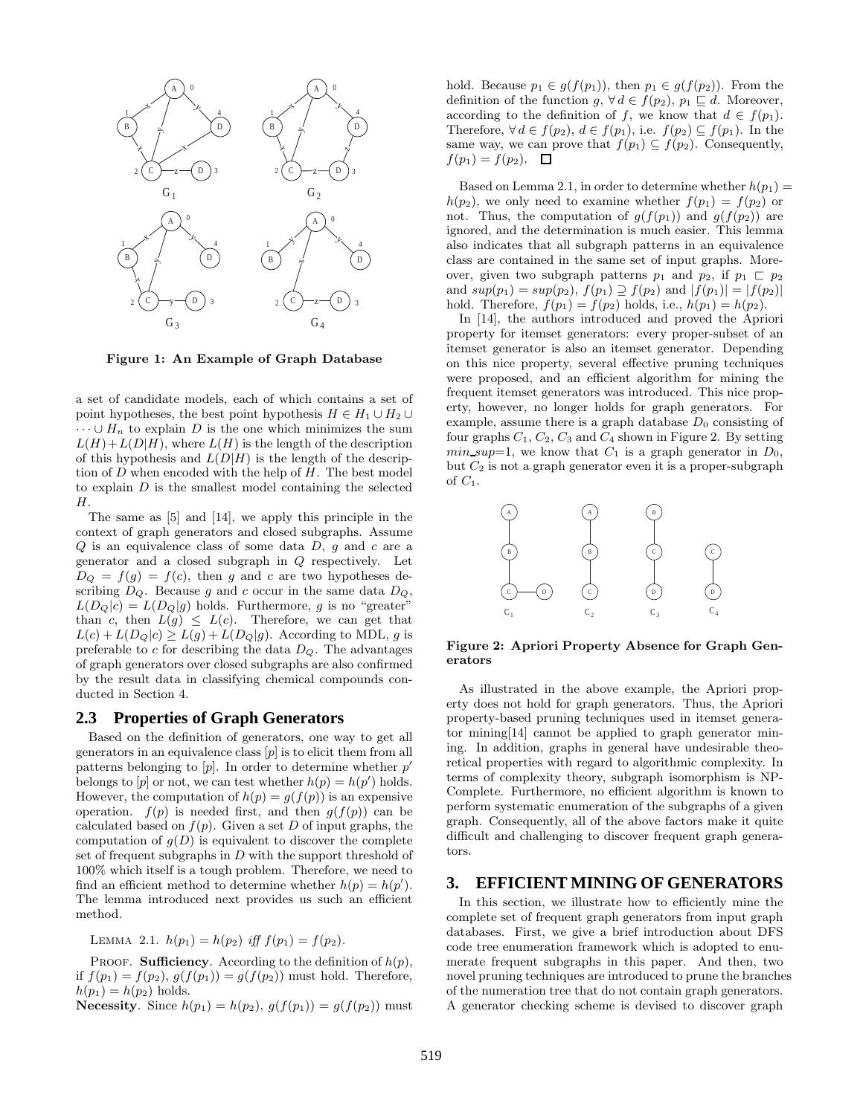

Figure 1: An Example of Graph Database

a set of candidate models, each of which contains a set of point hypotheses, the best point hypothesis  $H \in H_1 \cup H_2 \cup$  $\cdots \cup H_n$  to explain D is the one which minimizes the sum  $L(H) + L(D|H)$ , where  $L(H)$  is the length of the description of this hypothesis and  $L(D|H)$  is the length of the description of  $D$  when encoded with the help of  $H$ . The best model to explain  $D$  is the smallest model containing the selected H.

The same as [5] and [14], we apply this principle in the context of graph generators and closed subgraphs. Assume  $Q$  is an equivalence class of some data  $D, g$  and  $c$  are a generator and a closed subgraph in Q respectively. Let  $D_Q = f(g) = f(c)$ , then g and c are two hypotheses describing  $D_Q$ . Because g and c occur in the same data  $D_Q$ ,  $L(D_{Q}|c) = L(D_{Q}|g)$  holds. Furthermore, g is no "greater" than c, then  $L(g) \leq L(c)$ . Therefore, we can get that  $L(c) + L(D_Q|c) \geq L(g) + L(D_Q|g)$ . According to MDL, g is preferable to  $c$  for describing the data  $D_Q$ . The advantages of graph generators over closed subgraphs are also confirmed by the result data in classifying chemical compounds conducted in Section 4.

# **2.3 Properties of Graph Generators**

Based on the definition of generators, one way to get all generators in an equivalence class  $[p]$  is to elicit them from all patterns belonging to  $[p]$ . In order to determine whether  $p'$ belongs to  $[p]$  or not, we can test whether  $h(p) = h(p')$  holds. However, the computation of  $h(p) = g(f(p))$  is an expensive operation.  $f(p)$  is needed first, and then  $g(f(p))$  can be calculated based on  $f(p)$ . Given a set D of input graphs, the computation of  $q(D)$  is equivalent to discover the complete set of frequent subgraphs in  $D$  with the support threshold of 100% which itself is a tough problem. Therefore, we need to find an efficient method to determine whether  $h(p) = h(p')$ . The lemma introduced next provides us such an efficient method.

LEMMA 2.1.  $h(p_1) = h(p_2)$  iff  $f(p_1) = f(p_2)$ .

PROOF. **Sufficiency**. According to the definition of  $h(p)$ , if  $f(p_1) = f(p_2), g(f(p_1)) = g(f(p_2))$  must hold. Therefore,  $h(p_1) = h(p_2)$  holds.

Necessity. Since  $h(p_1) = h(p_2)$ ,  $g(f(p_1)) = g(f(p_2))$  must

hold. Because  $p_1 \in g(f(p_1))$ , then  $p_1 \in g(f(p_2))$ . From the definition of the function  $g, \forall d \in f(p_2), p_1 \sqsubseteq d$ . Moreover, according to the definition of f, we know that  $d \in f(p_1)$ . Therefore,  $\forall d \in f(p_2), d \in f(p_1)$ , i.e.  $f(p_2) \subseteq f(p_1)$ . In the same way, we can prove that  $f(p_1) \subseteq f(p_2)$ . Consequently,  $f(p_1) = f(p_2)$ .  $\Box$ 

Based on Lemma 2.1, in order to determine whether  $h(p_1) =$  $h(p_2)$ , we only need to examine whether  $f(p_1) = f(p_2)$  or not. Thus, the computation of  $g(f(p_1))$  and  $g(f(p_2))$  are ignored, and the determination is much easier. This lemma also indicates that all subgraph patterns in an equivalence class are contained in the same set of input graphs. Moreover, given two subgraph patterns  $p_1$  and  $p_2$ , if  $p_1 \rvert p_2$ and  $sup(p_1) = sup(p_2)$ ,  $f(p_1) \supseteq f(p_2)$  and  $|f(p_1)| = |f(p_2)|$ hold. Therefore,  $f(p_1) = f(p_2)$  holds, i.e.,  $h(p_1) = h(p_2)$ .

In [14], the authors introduced and proved the Apriori property for itemset generators: every proper-subset of an itemset generator is also an itemset generator. Depending on this nice property, several effective pruning techniques were proposed, and an efficient algorithm for mining the frequent itemset generators was introduced. This nice property, however, no longer holds for graph generators. For example, assume there is a graph database  $D_0$  consisting of four graphs  $C_1$ ,  $C_2$ ,  $C_3$  and  $C_4$  shown in Figure 2. By setting min sup=1, we know that  $C_1$  is a graph generator in  $D_0$ , but  $C_2$  is not a graph generator even it is a proper-subgraph of  $C_1$ .



Figure 2: Apriori Property Absence for Graph Generators

As illustrated in the above example, the Apriori property does not hold for graph generators. Thus, the Apriori property-based pruning techniques used in itemset generator mining[14] cannot be applied to graph generator mining. In addition, graphs in general have undesirable theoretical properties with regard to algorithmic complexity. In terms of complexity theory, subgraph isomorphism is NP-Complete. Furthermore, no efficient algorithm is known to perform systematic enumeration of the subgraphs of a given graph. Consequently, all of the above factors make it quite difficult and challenging to discover frequent graph generators.

# **3. EFFICIENT MINING OF GENERATORS**

In this section, we illustrate how to efficiently mine the complete set of frequent graph generators from input graph databases. First, we give a brief introduction about DFS code tree enumeration framework which is adopted to enumerate frequent subgraphs in this paper. And then, two novel pruning techniques are introduced to prune the branches of the numeration tree that do not contain graph generators. A generator checking scheme is devised to discover graph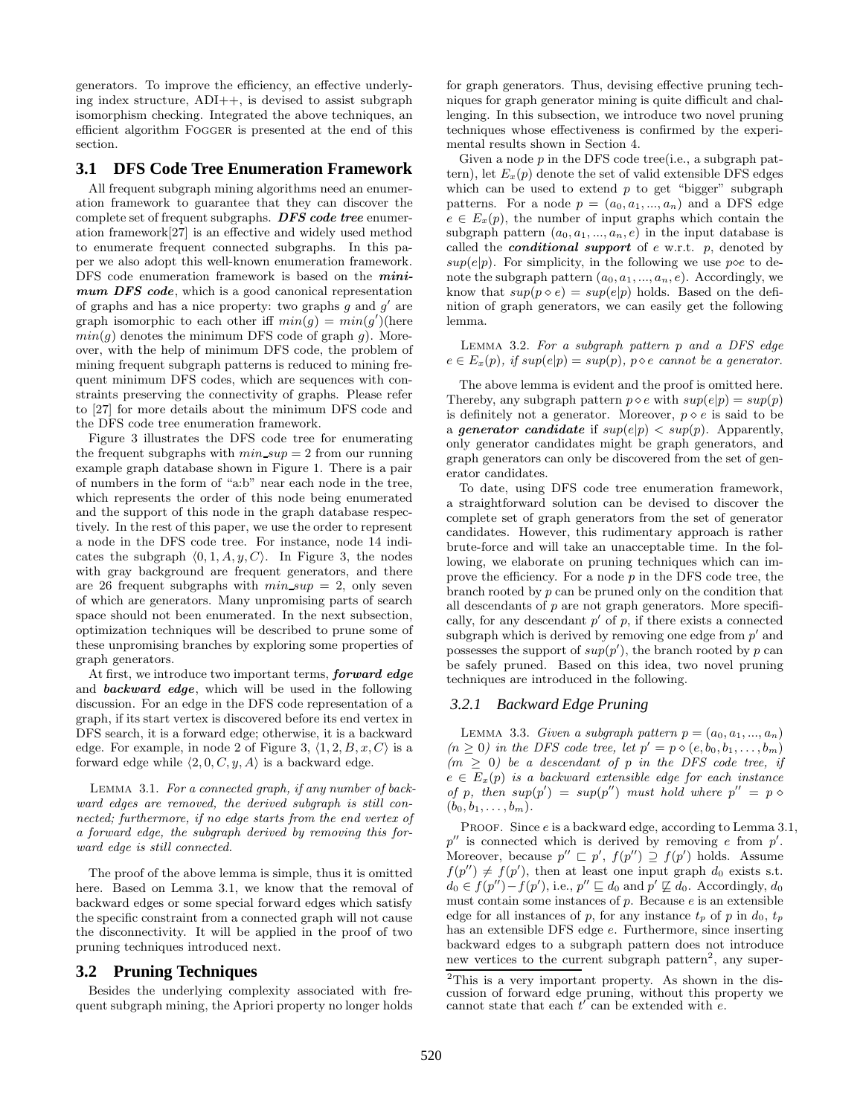generators. To improve the efficiency, an effective underlying index structure, ADI++, is devised to assist subgraph isomorphism checking. Integrated the above techniques, an efficient algorithm FOGGER is presented at the end of this section.

# **3.1 DFS Code Tree Enumeration Framework**

All frequent subgraph mining algorithms need an enumeration framework to guarantee that they can discover the complete set of frequent subgraphs. DFS code tree enumeration framework[27] is an effective and widely used method to enumerate frequent connected subgraphs. In this paper we also adopt this well-known enumeration framework. DFS code enumeration framework is based on the *mini*mum DFS code, which is a good canonical representation of graphs and has a nice property: two graphs  $g$  and  $g'$  are graph isomorphic to each other iff  $min(g) = min(g')$ (here  $min(q)$  denotes the minimum DFS code of graph q). Moreover, with the help of minimum DFS code, the problem of mining frequent subgraph patterns is reduced to mining frequent minimum DFS codes, which are sequences with constraints preserving the connectivity of graphs. Please refer to [27] for more details about the minimum DFS code and the DFS code tree enumeration framework.

Figure 3 illustrates the DFS code tree for enumerating the frequent subgraphs with  $min\_sup = 2$  from our running example graph database shown in Figure 1. There is a pair of numbers in the form of "a:b" near each node in the tree, which represents the order of this node being enumerated and the support of this node in the graph database respectively. In the rest of this paper, we use the order to represent a node in the DFS code tree. For instance, node 14 indicates the subgraph  $\langle 0, 1, A, y, C \rangle$ . In Figure 3, the nodes with gray background are frequent generators, and there are 26 frequent subgraphs with  $min\_sup = 2$ , only seven of which are generators. Many unpromising parts of search space should not been enumerated. In the next subsection, optimization techniques will be described to prune some of these unpromising branches by exploring some properties of graph generators.

At first, we introduce two important terms, forward edge and backward edge, which will be used in the following discussion. For an edge in the DFS code representation of a graph, if its start vertex is discovered before its end vertex in DFS search, it is a forward edge; otherwise, it is a backward edge. For example, in node 2 of Figure 3,  $\langle 1, 2, B, x, C \rangle$  is a forward edge while  $\langle 2, 0, C, y, A \rangle$  is a backward edge.

Lemma 3.1. For a connected graph, if any number of backward edges are removed, the derived subgraph is still connected; furthermore, if no edge starts from the end vertex of a forward edge, the subgraph derived by removing this forward edge is still connected.

The proof of the above lemma is simple, thus it is omitted here. Based on Lemma 3.1, we know that the removal of backward edges or some special forward edges which satisfy the specific constraint from a connected graph will not cause the disconnectivity. It will be applied in the proof of two pruning techniques introduced next.

### **3.2 Pruning Techniques**

Besides the underlying complexity associated with frequent subgraph mining, the Apriori property no longer holds for graph generators. Thus, devising effective pruning techniques for graph generator mining is quite difficult and challenging. In this subsection, we introduce two novel pruning techniques whose effectiveness is confirmed by the experimental results shown in Section 4.

Given a node  $p$  in the DFS code tree(i.e., a subgraph pattern), let  $E_x(p)$  denote the set of valid extensible DFS edges which can be used to extend  $p$  to get "bigger" subgraph patterns. For a node  $p = (a_0, a_1, ..., a_n)$  and a DFS edge  $e \in E_x(p)$ , the number of input graphs which contain the subgraph pattern  $(a_0, a_1, ..., a_n, e)$  in the input database is called the *conditional support* of  $e$  w.r.t.  $p$ , denoted by  $sup(e|p)$ . For simplicity, in the following we use  $p \diamond e$  to denote the subgraph pattern  $(a_0, a_1, ..., a_n, e)$ . Accordingly, we know that  $sup(p \circ e) = sup(e|p)$  holds. Based on the definition of graph generators, we can easily get the following lemma.

Lemma 3.2. For a subgraph pattern p and a DFS edge  $e \in E_x(p)$ , if  $sup(e|p) = sup(p)$ ,  $p \diamond e$  cannot be a generator.

The above lemma is evident and the proof is omitted here. Thereby, any subgraph pattern  $p \diamond e$  with  $sup(e|p) = sup(p)$ is definitely not a generator. Moreover,  $p \diamond e$  is said to be a generator candidate if  $sup(e|p) < sup(p)$ . Apparently, only generator candidates might be graph generators, and graph generators can only be discovered from the set of generator candidates.

To date, using DFS code tree enumeration framework, a straightforward solution can be devised to discover the complete set of graph generators from the set of generator candidates. However, this rudimentary approach is rather brute-force and will take an unacceptable time. In the following, we elaborate on pruning techniques which can improve the efficiency. For a node  $p$  in the DFS code tree, the branch rooted by p can be pruned only on the condition that all descendants of p are not graph generators. More specifically, for any descendant  $p'$  of  $p$ , if there exists a connected subgraph which is derived by removing one edge from  $p'$  and possesses the support of  $\exp(p')$ , the branch rooted by p can be safely pruned. Based on this idea, two novel pruning techniques are introduced in the following.

### *3.2.1 Backward Edge Pruning*

LEMMA 3.3. Given a subgraph pattern  $p = (a_0, a_1, ..., a_n)$  $(n \geq 0)$  in the DFS code tree, let  $p' = p \circ (e, b_0, b_1, \ldots, b_m)$  $(m \geq 0)$  be a descendant of p in the DFS code tree, if  $e \in E_x(p)$  is a backward extensible edge for each instance of p, then  $sup(p') = sup(p'')$  must hold where  $p'' = p$  $(b_0, b_1, \ldots, b_m).$ 

PROOF. Since  $e$  is a backward edge, according to Lemma 3.1,  $p''$  is connected which is derived by removing e from  $p'$ . Moreover, because  $p'' \sqsubset p'$ ,  $f(p'') \supseteq f(p')$  holds. Assume  $f(p'') \neq f(p')$ , then at least one input graph  $d_0$  exists s.t.  $d_0 \in f(p'')-f(p')$ , i.e.,  $p'' \sqsubseteq d_0$  and  $p' \not\sqsubseteq d_0$ . Accordingly,  $d_0$ must contain some instances of  $p$ . Because  $e$  is an extensible edge for all instances of p, for any instance  $t_p$  of p in  $d_0$ ,  $t_p$ has an extensible DFS edge e. Furthermore, since inserting backward edges to a subgraph pattern does not introduce new vertices to the current subgraph pattern<sup>2</sup>, any super-

<sup>2</sup>This is a very important property. As shown in the discussion of forward edge pruning, without this property we cannot state that each  $t'$  can be extended with  $e$ .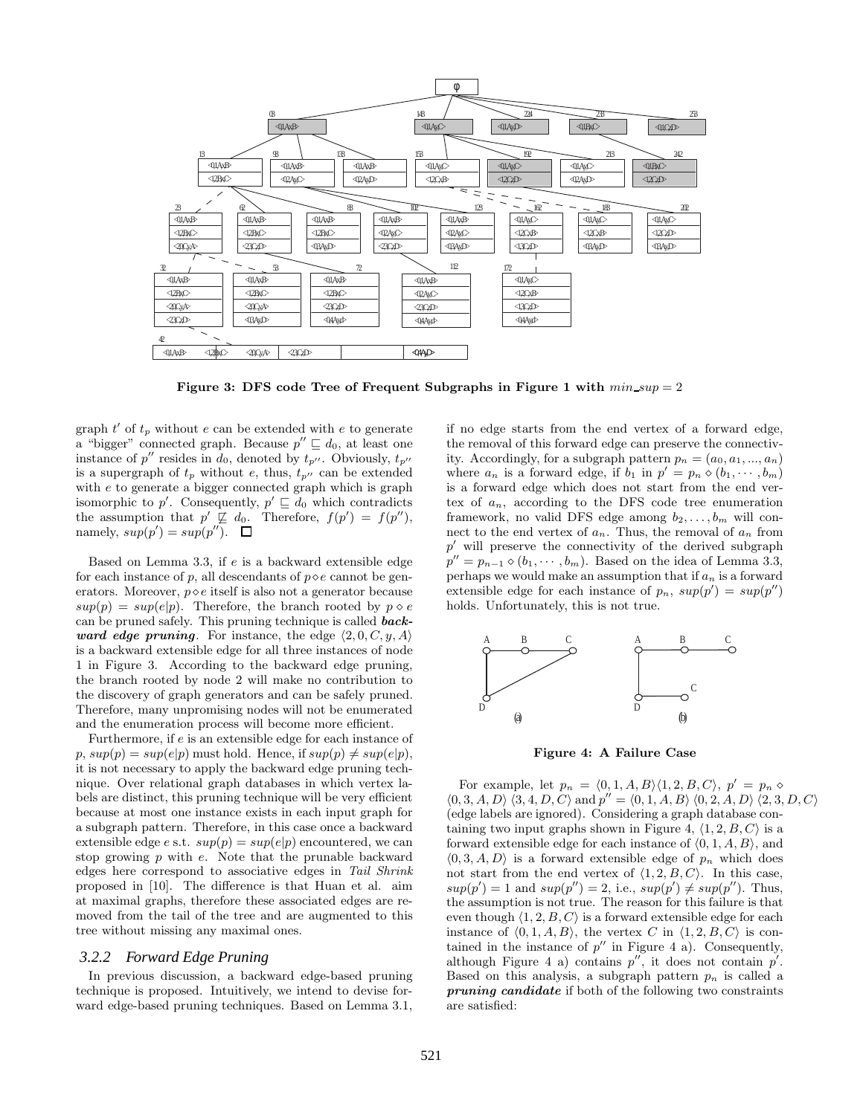

Figure 3: DFS code Tree of Frequent Subgraphs in Figure 1 with  $min\_sup = 2$ 

graph  $t'$  of  $t_p$  without  $e$  can be extended with  $e$  to generate a "bigger" connected graph. Because  $p'' \sqsubseteq d_0$ , at least one instance of p'' resides in  $d_0$ , denoted by  $t_{p}$ . Obviously,  $t_{p}$ is a supergraph of  $t_p$  without e, thus,  $t_{p\ell}$  can be extended with e to generate a bigger connected graph which is graph isomorphic to p'. Consequently,  $p' \sqsubseteq d_0$  which contradicts the assumption that  $p' \not\sqsubseteq d_0$ . Therefore,  $f(p') = f(p'')$ , namely,  $sup(p') = sup(p'')$ .

Based on Lemma 3.3, if e is a backward extensible edge for each instance of p, all descendants of  $p \diamond e$  cannot be generators. Moreover,  $p \diamond e$  itself is also not a generator because  $sup(p) = sup(e|p)$ . Therefore, the branch rooted by  $p \diamond e$ can be pruned safely. This pruning technique is called backward edge pruning. For instance, the edge  $\langle 2, 0, C, y, A \rangle$ is a backward extensible edge for all three instances of node 1 in Figure 3. According to the backward edge pruning, the branch rooted by node 2 will make no contribution to the discovery of graph generators and can be safely pruned. Therefore, many unpromising nodes will not be enumerated and the enumeration process will become more efficient.

Furthermore, if e is an extensible edge for each instance of  $p, \sup(p) = \sup(e|p)$  must hold. Hence, if  $\sup(p) \neq \sup(e|p)$ , it is not necessary to apply the backward edge pruning technique. Over relational graph databases in which vertex labels are distinct, this pruning technique will be very efficient because at most one instance exists in each input graph for a subgraph pattern. Therefore, in this case once a backward extensible edge e s.t.  $sup(p) = sup(e|p)$  encountered, we can stop growing  $p$  with  $e$ . Note that the prunable backward edges here correspond to associative edges in Tail Shrink proposed in [10]. The difference is that Huan et al. aim at maximal graphs, therefore these associated edges are removed from the tail of the tree and are augmented to this tree without missing any maximal ones.

### *3.2.2 Forward Edge Pruning*

In previous discussion, a backward edge-based pruning technique is proposed. Intuitively, we intend to devise forward edge-based pruning techniques. Based on Lemma 3.1,

if no edge starts from the end vertex of a forward edge, the removal of this forward edge can preserve the connectivity. Accordingly, for a subgraph pattern  $p_n = (a_0, a_1, ..., a_n)$ where  $a_n$  is a forward edge, if  $b_1$  in  $p' = p_n \diamond (b_1, \dots, b_m)$ is a forward edge which does not start from the end vertex of  $a_n$ , according to the DFS code tree enumeration framework, no valid DFS edge among  $b_2, \ldots, b_m$  will connect to the end vertex of  $a_n$ . Thus, the removal of  $a_n$  from  $p'$  will preserve the connectivity of the derived subgraph  $p'' = p_{n-1} \diamond (b_1, \dots, b_m)$ . Based on the idea of Lemma 3.3, perhaps we would make an assumption that if  $a_n$  is a forward extensible edge for each instance of  $p_n$ ,  $sup(p') = sup(p'')$ holds. Unfortunately, this is not true.



Figure 4: A Failure Case

For example, let  $p_n = \langle 0, 1, A, B \rangle \langle 1, 2, B, C \rangle$ ,  $p' = p_n \diamond$  $\langle 0, 3, A, D \rangle$   $\langle 3, 4, D, C \rangle$  and  $p'' = \langle 0, 1, A, B \rangle$   $\langle 0, 2, A, D \rangle$   $\langle 2, 3, D, C \rangle$ (edge labels are ignored). Considering a graph database containing two input graphs shown in Figure 4,  $\langle 1, 2, B, C \rangle$  is a forward extensible edge for each instance of  $(0, 1, A, B)$ , and  $\langle 0, 3, A, D \rangle$  is a forward extensible edge of  $p_n$  which does not start from the end vertex of  $\langle 1, 2, B, C \rangle$ . In this case,  $sup(p') = 1$  and  $sup(p'') = 2$ , i.e.,  $sup(p') \neq sup(p'')$ . Thus, the assumption is not true. The reason for this failure is that even though  $\langle 1, 2, B, C \rangle$  is a forward extensible edge for each instance of  $\langle 0, 1, A, B \rangle$ , the vertex C in  $\langle 1, 2, B, C \rangle$  is contained in the instance of  $p''$  in Figure 4 a). Consequently, although Figure 4 a) contains  $p''$ , it does not contain  $p'$ . Based on this analysis, a subgraph pattern  $p_n$  is called a pruning candidate if both of the following two constraints are satisfied: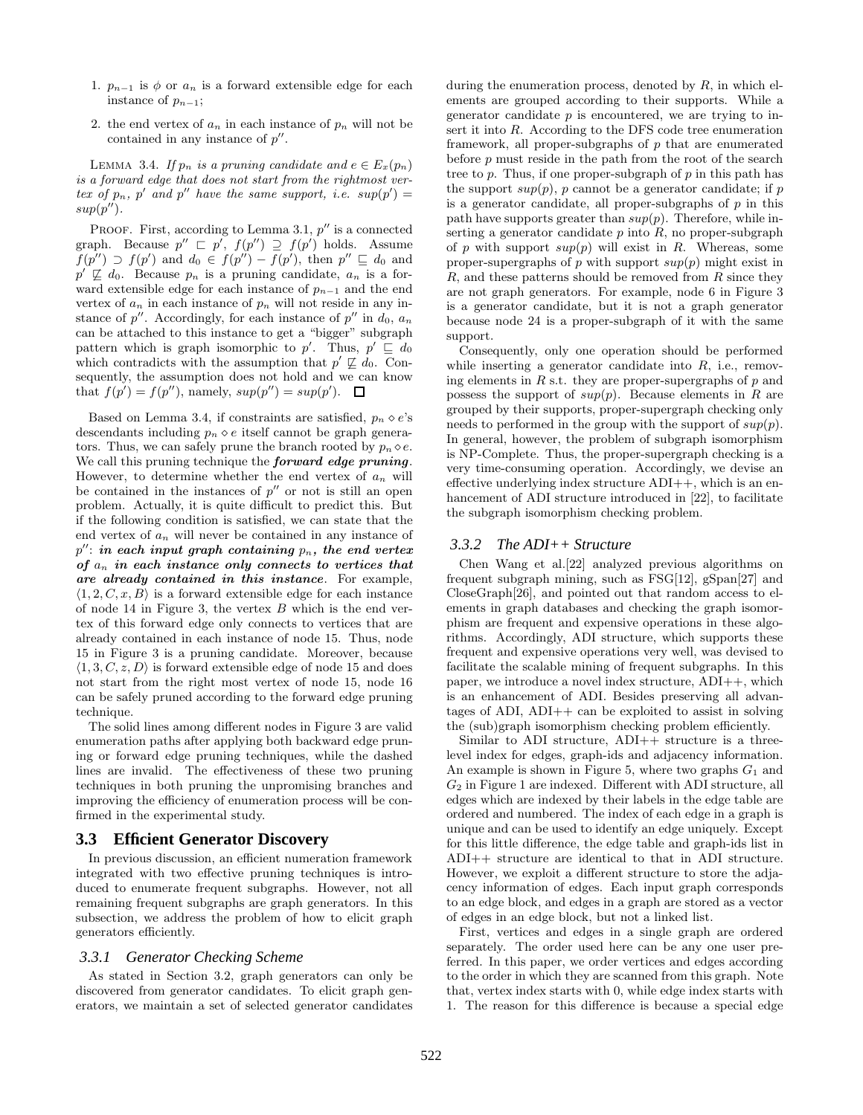- 1.  $p_{n-1}$  is  $\phi$  or  $a_n$  is a forward extensible edge for each instance of  $p_{n-1}$ ;
- 2. the end vertex of  $a_n$  in each instance of  $p_n$  will not be contained in any instance of  $p''$ .

LEMMA 3.4. If  $p_n$  is a pruning candidate and  $e \in E_x(p_n)$ is a forward edge that does not start from the rightmost vertex of  $p_n$ ,  $p'$  and  $p''$  have the same support, i.e.  $sup(p') =$  $sup(p'')$ .

PROOF. First, according to Lemma 3.1,  $p''$  is a connected graph. Because  $p'' \nightharpoonup p'$ ,  $f(p'') \supseteq f(p')$  holds. Assume  $f(p'') \supset f(p')$  and  $d_0 \in f(p'') - \overline{f(p')},$  then  $p'' \sqsubseteq d_0$  and  $p' \not\sqsubseteq d_0$ . Because  $p_n$  is a pruning candidate,  $a_n$  is a forward extensible edge for each instance of  $p_{n-1}$  and the end vertex of  $a_n$  in each instance of  $p_n$  will not reside in any instance of  $p''$ . Accordingly, for each instance of  $p''$  in  $d_0$ ,  $a_n$ can be attached to this instance to get a "bigger" subgraph pattern which is graph isomorphic to p'. Thus,  $p' \subseteq d_0$ which contradicts with the assumption that  $p' \not\sqsubseteq d_0$ . Consequently, the assumption does not hold and we can know that  $f(p') = f(p'')$ , namely,  $sup(p'') = sup(p')$ .

Based on Lemma 3.4, if constraints are satisfied,  $p_n \diamond e$ 's descendants including  $p_n \diamond e$  itself cannot be graph generators. Thus, we can safely prune the branch rooted by  $p_n \diamond e$ . We call this pruning technique the *forward edge pruning*. However, to determine whether the end vertex of  $a_n$  will be contained in the instances of  $p''$  or not is still an open problem. Actually, it is quite difficult to predict this. But if the following condition is satisfied, we can state that the end vertex of  $a_n$  will never be contained in any instance of  $p^{\prime\prime}$ : in each input graph containing  $p_n,$  the end vertex of  $a_n$  in each instance only connects to vertices that are already contained in this instance. For example,  $\langle 1, 2, C, x, B \rangle$  is a forward extensible edge for each instance of node 14 in Figure 3, the vertex  $B$  which is the end vertex of this forward edge only connects to vertices that are already contained in each instance of node 15. Thus, node 15 in Figure 3 is a pruning candidate. Moreover, because  $\langle 1, 3, C, z, D \rangle$  is forward extensible edge of node 15 and does not start from the right most vertex of node 15, node 16 can be safely pruned according to the forward edge pruning technique.

The solid lines among different nodes in Figure 3 are valid enumeration paths after applying both backward edge pruning or forward edge pruning techniques, while the dashed lines are invalid. The effectiveness of these two pruning techniques in both pruning the unpromising branches and improving the efficiency of enumeration process will be confirmed in the experimental study.

### **3.3 Efficient Generator Discovery**

In previous discussion, an efficient numeration framework integrated with two effective pruning techniques is introduced to enumerate frequent subgraphs. However, not all remaining frequent subgraphs are graph generators. In this subsection, we address the problem of how to elicit graph generators efficiently.

### *3.3.1 Generator Checking Scheme*

As stated in Section 3.2, graph generators can only be discovered from generator candidates. To elicit graph generators, we maintain a set of selected generator candidates

during the enumeration process, denoted by  $R$ , in which elements are grouped according to their supports. While a generator candidate  $p$  is encountered, we are trying to insert it into R. According to the DFS code tree enumeration framework, all proper-subgraphs of  $p$  that are enumerated before  $p$  must reside in the path from the root of the search tree to  $p$ . Thus, if one proper-subgraph of  $p$  in this path has the support  $sup(p)$ , p cannot be a generator candidate; if p is a generator candidate, all proper-subgraphs of  $p$  in this path have supports greater than  $sup(p)$ . Therefore, while inserting a generator candidate  $p$  into  $R$ , no proper-subgraph of p with support  $sup(p)$  will exist in R. Whereas, some proper-supergraphs of p with support  $sup(p)$  might exist in  $R$ , and these patterns should be removed from  $R$  since they are not graph generators. For example, node 6 in Figure 3 is a generator candidate, but it is not a graph generator because node 24 is a proper-subgraph of it with the same support.

Consequently, only one operation should be performed while inserting a generator candidate into  $R$ , i.e., removing elements in  $R$  s.t. they are proper-supergraphs of  $p$  and possess the support of  $sup(p)$ . Because elements in R are grouped by their supports, proper-supergraph checking only needs to performed in the group with the support of  $sup(p)$ . In general, however, the problem of subgraph isomorphism is NP-Complete. Thus, the proper-supergraph checking is a very time-consuming operation. Accordingly, we devise an effective underlying index structure  $ADI++$ , which is an enhancement of ADI structure introduced in [22], to facilitate the subgraph isomorphism checking problem.

#### *3.3.2 The ADI++ Structure*

Chen Wang et al.[22] analyzed previous algorithms on frequent subgraph mining, such as FSG[12], gSpan[27] and CloseGraph[26], and pointed out that random access to elements in graph databases and checking the graph isomorphism are frequent and expensive operations in these algorithms. Accordingly, ADI structure, which supports these frequent and expensive operations very well, was devised to facilitate the scalable mining of frequent subgraphs. In this paper, we introduce a novel index structure, ADI++, which is an enhancement of ADI. Besides preserving all advantages of ADI,  $ADI++$  can be exploited to assist in solving the (sub)graph isomorphism checking problem efficiently.

Similar to ADI structure,  $ADI++$  structure is a threelevel index for edges, graph-ids and adjacency information. An example is shown in Figure 5, where two graphs  $G_1$  and  $G_2$  in Figure 1 are indexed. Different with ADI structure, all edges which are indexed by their labels in the edge table are ordered and numbered. The index of each edge in a graph is unique and can be used to identify an edge uniquely. Except for this little difference, the edge table and graph-ids list in ADI++ structure are identical to that in ADI structure. However, we exploit a different structure to store the adjacency information of edges. Each input graph corresponds to an edge block, and edges in a graph are stored as a vector of edges in an edge block, but not a linked list.

First, vertices and edges in a single graph are ordered separately. The order used here can be any one user preferred. In this paper, we order vertices and edges according to the order in which they are scanned from this graph. Note that, vertex index starts with 0, while edge index starts with 1. The reason for this difference is because a special edge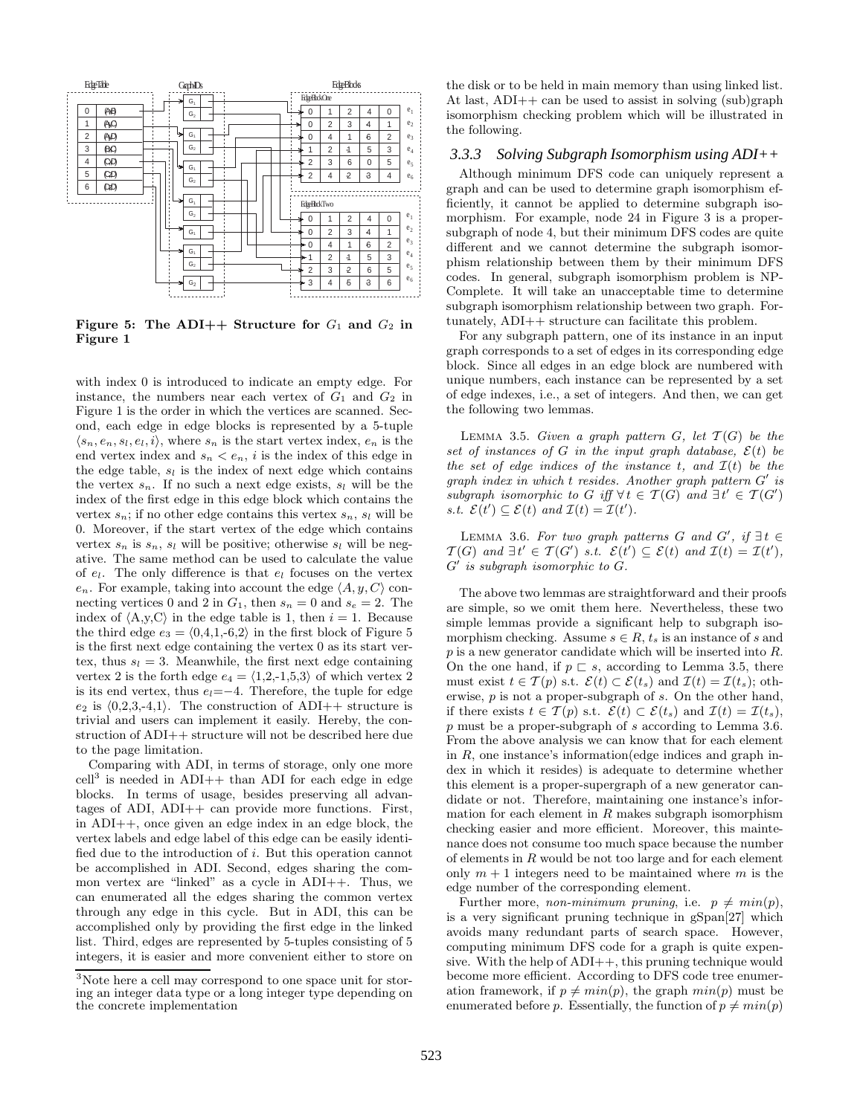

Figure 5: The ADI++ Structure for  $G_1$  and  $G_2$  in Figure 1

with index 0 is introduced to indicate an empty edge. For instance, the numbers near each vertex of  $G_1$  and  $G_2$  in Figure 1 is the order in which the vertices are scanned. Second, each edge in edge blocks is represented by a 5-tuple  $\langle s_n, e_n, s_l, e_l, i \rangle$ , where  $s_n$  is the start vertex index,  $e_n$  is the end vertex index and  $s_n < e_n$ , *i* is the index of this edge in the edge table,  $s_l$  is the index of next edge which contains the vertex  $s_n$ . If no such a next edge exists,  $s_l$  will be the index of the first edge in this edge block which contains the vertex  $s_n$ ; if no other edge contains this vertex  $s_n$ ,  $s_l$  will be 0. Moreover, if the start vertex of the edge which contains vertex  $s_n$  is  $s_n$ ,  $s_l$  will be positive; otherwise  $s_l$  will be negative. The same method can be used to calculate the value of  $e_l$ . The only difference is that  $e_l$  focuses on the vertex  $e_n$ . For example, taking into account the edge  $\langle A, y, C \rangle$  connecting vertices 0 and 2 in  $G_1$ , then  $s_n = 0$  and  $s_e = 2$ . The index of  $\langle A,y,C\rangle$  in the edge table is 1, then  $i = 1$ . Because the third edge  $e_3 = \langle 0,4,1,-6,2 \rangle$  in the first block of Figure 5 is the first next edge containing the vertex 0 as its start vertex, thus  $s_l = 3$ . Meanwhile, the first next edge containing vertex 2 is the forth edge  $e_4 = \langle 1,2,-1,5,3 \rangle$  of which vertex 2 is its end vertex, thus  $e_l = -4$ . Therefore, the tuple for edge  $e_2$  is  $\langle 0,2,3,-4,1 \rangle$ . The construction of ADI++ structure is trivial and users can implement it easily. Hereby, the construction of ADI++ structure will not be described here due to the page limitation.

Comparing with ADI, in terms of storage, only one more cell<sup>3</sup> is needed in ADI++ than ADI for each edge in edge blocks. In terms of usage, besides preserving all advantages of ADI, ADI++ can provide more functions. First, in ADI++, once given an edge index in an edge block, the vertex labels and edge label of this edge can be easily identified due to the introduction of i. But this operation cannot be accomplished in ADI. Second, edges sharing the common vertex are "linked" as a cycle in ADI++. Thus, we can enumerated all the edges sharing the common vertex through any edge in this cycle. But in ADI, this can be accomplished only by providing the first edge in the linked list. Third, edges are represented by 5-tuples consisting of 5 integers, it is easier and more convenient either to store on

the disk or to be held in main memory than using linked list. At last,  $ADI++$  can be used to assist in solving (sub)graph isomorphism checking problem which will be illustrated in the following.

### *3.3.3 Solving Subgraph Isomorphism using ADI++*

Although minimum DFS code can uniquely represent a graph and can be used to determine graph isomorphism efficiently, it cannot be applied to determine subgraph isomorphism. For example, node 24 in Figure 3 is a propersubgraph of node 4, but their minimum DFS codes are quite different and we cannot determine the subgraph isomorphism relationship between them by their minimum DFS codes. In general, subgraph isomorphism problem is NP-Complete. It will take an unacceptable time to determine subgraph isomorphism relationship between two graph. Fortunately, ADI++ structure can facilitate this problem.

For any subgraph pattern, one of its instance in an input graph corresponds to a set of edges in its corresponding edge block. Since all edges in an edge block are numbered with unique numbers, each instance can be represented by a set of edge indexes, i.e., a set of integers. And then, we can get the following two lemmas.

LEMMA 3.5. Given a graph pattern  $G$ , let  $\mathcal{T}(G)$  be the set of instances of G in the input graph database,  $\mathcal{E}(t)$  be the set of edge indices of the instance t, and  $\mathcal{I}(t)$  be the  $graph$  index in which t resides. Another graph pattern  $G'$  is subgraph isomorphic to G iff  $\forall t \in \mathcal{T}(G)$  and  $\exists t' \in \mathcal{T}(G')$ s.t.  $\mathcal{E}(t') \subseteq \mathcal{E}(t)$  and  $\mathcal{I}(t) = \mathcal{I}(t')$ .

LEMMA 3.6. For two graph patterns G and  $G'$ , if  $\exists t \in$  $\mathcal{T}(G)$  and  $\exists t' \in \mathcal{T}(G')$  s.t.  $\mathcal{E}(t') \subseteq \mathcal{E}(t)$  and  $\mathcal{I}(t) = \mathcal{I}(t')$ ,  $G'$  is subgraph isomorphic to  $\hat{G}$ .

The above two lemmas are straightforward and their proofs are simple, so we omit them here. Nevertheless, these two simple lemmas provide a significant help to subgraph isomorphism checking. Assume  $s \in R$ ,  $t_s$  is an instance of s and  $p$  is a new generator candidate which will be inserted into  $R$ . On the one hand, if  $p \rightharpoonup s$ , according to Lemma 3.5, there must exist  $t \in \mathcal{T}(p)$  s.t.  $\mathcal{E}(t) \subset \mathcal{E}(t_s)$  and  $\mathcal{I}(t) = \mathcal{I}(t_s)$ ; otherwise, p is not a proper-subgraph of s. On the other hand, if there exists  $t \in \mathcal{T}(p)$  s.t.  $\mathcal{E}(t) \subset \mathcal{E}(t_s)$  and  $\mathcal{I}(t) = \mathcal{I}(t_s)$ , p must be a proper-subgraph of s according to Lemma 3.6. From the above analysis we can know that for each element in  $R$ , one instance's information (edge indices and graph index in which it resides) is adequate to determine whether this element is a proper-supergraph of a new generator candidate or not. Therefore, maintaining one instance's information for each element in  $R$  makes subgraph isomorphism checking easier and more efficient. Moreover, this maintenance does not consume too much space because the number of elements in  $R$  would be not too large and for each element only  $m + 1$  integers need to be maintained where m is the edge number of the corresponding element.

Further more, non-minimum pruning, i.e.  $p \neq min(p)$ , is a very significant pruning technique in gSpan[27] which avoids many redundant parts of search space. However, computing minimum DFS code for a graph is quite expensive. With the help of  $ADI++$ , this pruning technique would become more efficient. According to DFS code tree enumeration framework, if  $p \neq min(p)$ , the graph  $min(p)$  must be enumerated before p. Essentially, the function of  $p \neq min(p)$ 

<sup>3</sup>Note here a cell may correspond to one space unit for storing an integer data type or a long integer type depending on the concrete implementation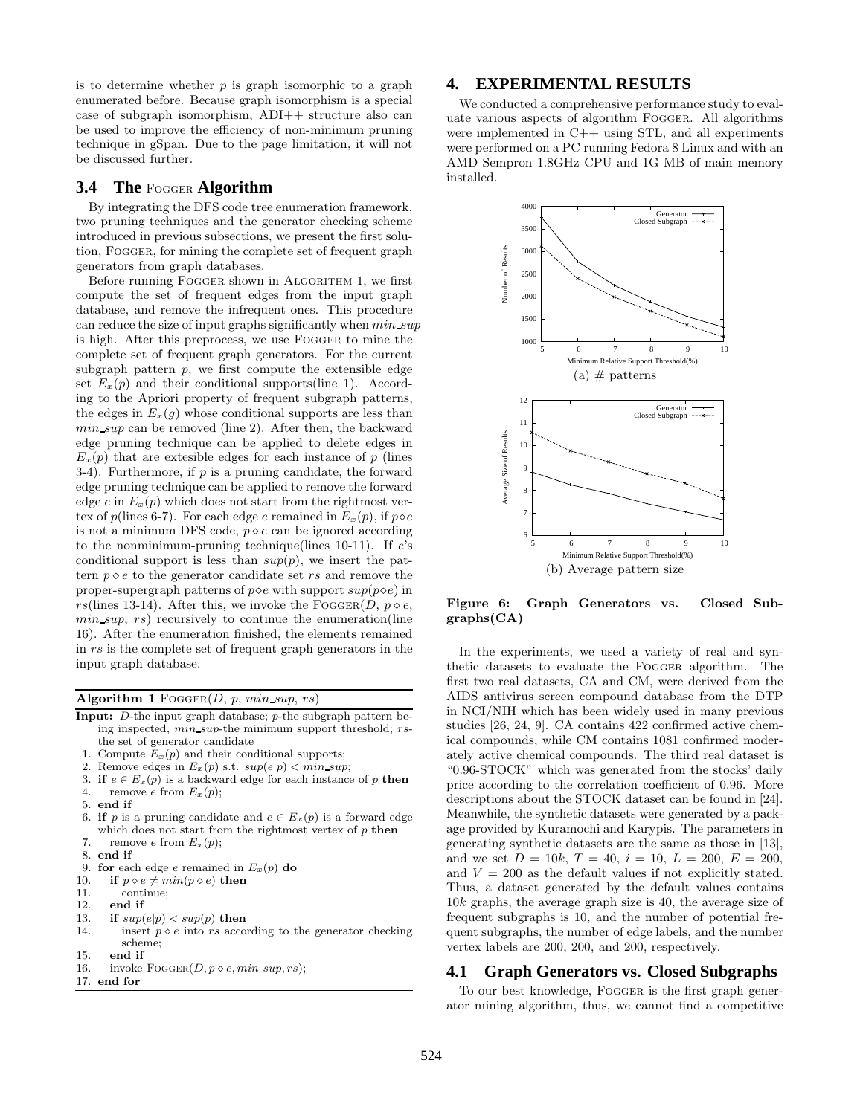is to determine whether  $p$  is graph isomorphic to a graph enumerated before. Because graph isomorphism is a special case of subgraph isomorphism, ADI++ structure also can be used to improve the efficiency of non-minimum pruning technique in gSpan. Due to the page limitation, it will not be discussed further.

# **3.4 The** Fogger **Algorithm**

By integrating the DFS code tree enumeration framework, two pruning techniques and the generator checking scheme introduced in previous subsections, we present the first solution, Fogger, for mining the complete set of frequent graph generators from graph databases.

Before running FOGGER shown in ALGORITHM 1, we first compute the set of frequent edges from the input graph database, and remove the infrequent ones. This procedure can reduce the size of input graphs significantly when  $min\_sup$ is high. After this preprocess, we use Fogger to mine the complete set of frequent graph generators. For the current subgraph pattern  $p$ , we first compute the extensible edge set  $E_x(p)$  and their conditional supports(line 1). According to the Apriori property of frequent subgraph patterns, the edges in  $E_x(g)$  whose conditional supports are less than  $min\_sup$  can be removed (line 2). After then, the backward edge pruning technique can be applied to delete edges in  $E_x(p)$  that are extesible edges for each instance of p (lines 3-4). Furthermore, if  $p$  is a pruning candidate, the forward edge pruning technique can be applied to remove the forward edge e in  $E_x(p)$  which does not start from the rightmost vertex of p(lines 6-7). For each edge e remained in  $E_x(p)$ , if  $p \diamond e$ is not a minimum DFS code,  $p \diamond e$  can be ignored according to the nonminimum-pruning technique (lines 10-11). If  $e$ 's conditional support is less than  $sup(p)$ , we insert the pattern  $p \diamond e$  to the generator candidate set rs and remove the proper-supergraph patterns of  $p \diamond e$  with support  $sup(p \diamond e)$  in rs(lines 13-14). After this, we invoke the FOGGER $(D, p \diamond e,$  $min \, sup, \, rs$ ) recursively to continue the enumeration(line 16). After the enumeration finished, the elements remained in  $rs$  is the complete set of frequent graph generators in the input graph database.

### Algorithm 1  $Fogger(D, p, min\_sup, rs)$

- Input: D-the input graph database; p-the subgraph pattern being inspected, min sup-the minimum support threshold; rsthe set of generator candidate
- 1. Compute  $E_x(p)$  and their conditional supports;
- 2. Remove edges in  $E_x(p)$  s.t.  $sup(e|p) < min\_sup;$
- 3. if  $e \in E_x(p)$  is a backward edge for each instance of p then 4. remove e from  $E_x(p)$ : remove e from  $E_x(p)$ ;
- 5. end if
- 6. if p is a pruning candidate and  $e \in E_x(p)$  is a forward edge which does not start from the rightmost vertex of  $p$  then
- 7. remove e from  $E_x(p)$ ;
- 8. end if
- 9. for each edge *e* remained in  $E_x(p)$  do<br>10. if  $p \diamond e \neq min(p \diamond e)$  then
- if  $p \diamond e \neq min(p \diamond e)$  then 11. continue;
- 12. end if
- 
- 13. if  $sup(e|p) < sup(p)$  then
- 14. insert  $p \diamond e$  into rs according to the generator checking scheme;
- 15. end if
- 16. invoke  $\text{Fogger}(D, p \diamond e, min\, sup, rs);$
- 17. end for

# **4. EXPERIMENTAL RESULTS**

We conducted a comprehensive performance study to evaluate various aspects of algorithm Fogger. All algorithms were implemented in C++ using STL, and all experiments were performed on a PC running Fedora 8 Linux and with an AMD Sempron 1.8GHz CPU and 1G MB of main memory installed.



Figure 6: Graph Generators vs. Closed Subgraphs(CA)

In the experiments, we used a variety of real and synthetic datasets to evaluate the FOGGER algorithm. The first two real datasets, CA and CM, were derived from the AIDS antivirus screen compound database from the DTP in NCI/NIH which has been widely used in many previous studies [26, 24, 9]. CA contains 422 confirmed active chemical compounds, while CM contains 1081 confirmed moderately active chemical compounds. The third real dataset is "0.96-STOCK" which was generated from the stocks' daily price according to the correlation coefficient of 0.96. More descriptions about the STOCK dataset can be found in [24]. Meanwhile, the synthetic datasets were generated by a package provided by Kuramochi and Karypis. The parameters in generating synthetic datasets are the same as those in [13], and we set  $D = 10k$ ,  $T = 40$ ,  $i = 10$ ,  $L = 200$ ,  $E = 200$ , and  $V = 200$  as the default values if not explicitly stated. Thus, a dataset generated by the default values contains 10k graphs, the average graph size is 40, the average size of frequent subgraphs is 10, and the number of potential frequent subgraphs, the number of edge labels, and the number vertex labels are 200, 200, and 200, respectively.

# **4.1 Graph Generators vs. Closed Subgraphs**

To our best knowledge, FOGGER is the first graph generator mining algorithm, thus, we cannot find a competitive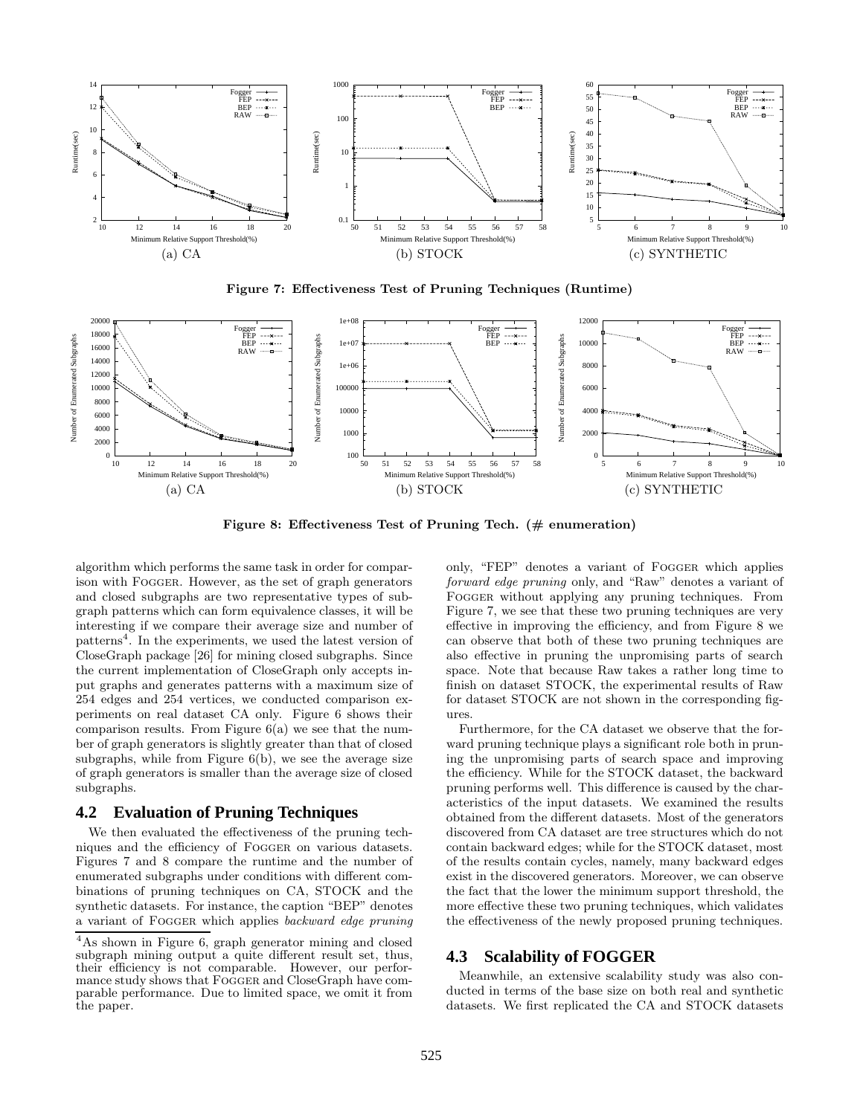

Figure 7: Effectiveness Test of Pruning Techniques (Runtime)



Figure 8: Effectiveness Test of Pruning Tech. (# enumeration)

algorithm which performs the same task in order for comparison with Fogger. However, as the set of graph generators and closed subgraphs are two representative types of subgraph patterns which can form equivalence classes, it will be interesting if we compare their average size and number of patterns<sup>4</sup>. In the experiments, we used the latest version of CloseGraph package [26] for mining closed subgraphs. Since the current implementation of CloseGraph only accepts input graphs and generates patterns with a maximum size of 254 edges and 254 vertices, we conducted comparison experiments on real dataset CA only. Figure 6 shows their comparison results. From Figure  $6(a)$  we see that the number of graph generators is slightly greater than that of closed subgraphs, while from Figure  $6(b)$ , we see the average size of graph generators is smaller than the average size of closed subgraphs.

# **4.2 Evaluation of Pruning Techniques**

We then evaluated the effectiveness of the pruning techniques and the efficiency of Fogger on various datasets. Figures 7 and 8 compare the runtime and the number of enumerated subgraphs under conditions with different combinations of pruning techniques on CA, STOCK and the synthetic datasets. For instance, the caption "BEP" denotes a variant of FOGGER which applies backward edge pruning

only, "FEP" denotes a variant of Fogger which applies forward edge pruning only, and "Raw" denotes a variant of Fogger without applying any pruning techniques. From Figure 7, we see that these two pruning techniques are very effective in improving the efficiency, and from Figure 8 we can observe that both of these two pruning techniques are also effective in pruning the unpromising parts of search space. Note that because Raw takes a rather long time to finish on dataset STOCK, the experimental results of Raw for dataset STOCK are not shown in the corresponding figures.

Furthermore, for the CA dataset we observe that the forward pruning technique plays a significant role both in pruning the unpromising parts of search space and improving the efficiency. While for the STOCK dataset, the backward pruning performs well. This difference is caused by the characteristics of the input datasets. We examined the results obtained from the different datasets. Most of the generators discovered from CA dataset are tree structures which do not contain backward edges; while for the STOCK dataset, most of the results contain cycles, namely, many backward edges exist in the discovered generators. Moreover, we can observe the fact that the lower the minimum support threshold, the more effective these two pruning techniques, which validates the effectiveness of the newly proposed pruning techniques.

# **4.3 Scalability of FOGGER**

Meanwhile, an extensive scalability study was also conducted in terms of the base size on both real and synthetic datasets. We first replicated the CA and STOCK datasets

<sup>4</sup>As shown in Figure 6, graph generator mining and closed subgraph mining output a quite different result set, thus, their efficiency is not comparable. However, our performance study shows that FOGGER and CloseGraph have comparable performance. Due to limited space, we omit it from the paper.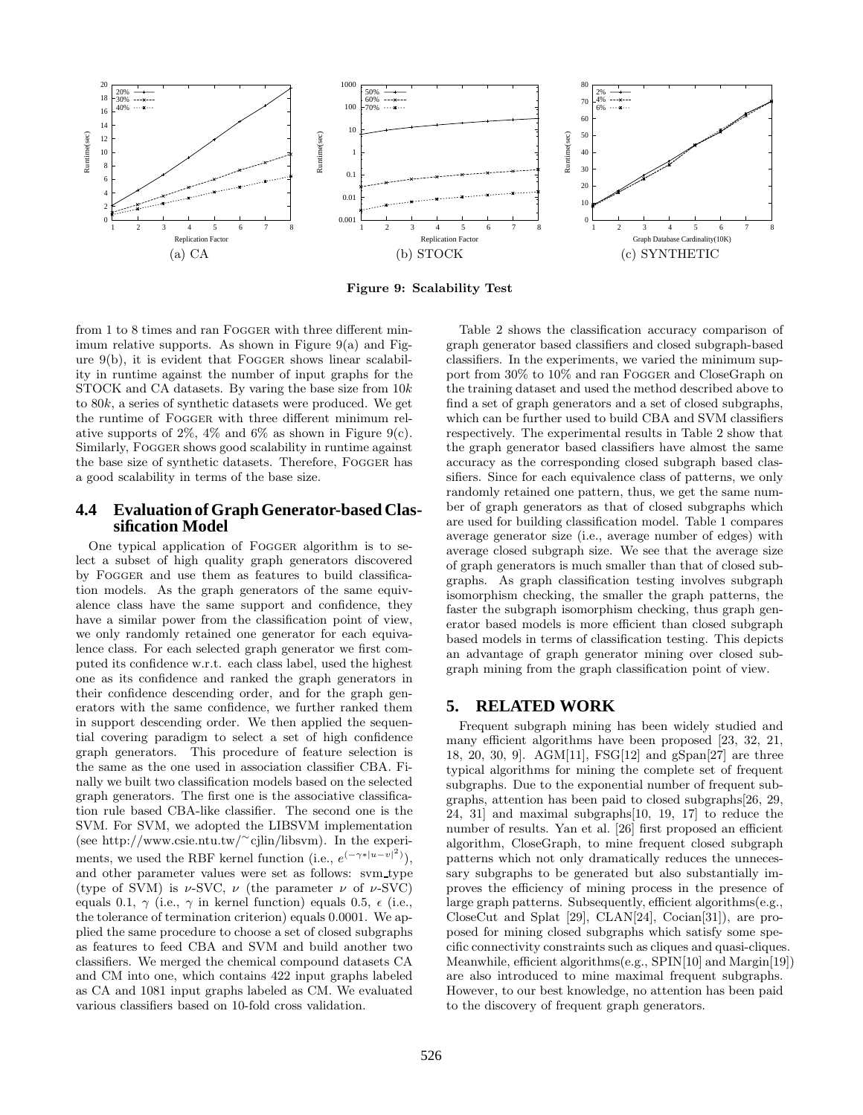

Figure 9: Scalability Test

from 1 to 8 times and ran FOGGER with three different minimum relative supports. As shown in Figure  $9(a)$  and Figure  $9(b)$ , it is evident that FOGGER shows linear scalability in runtime against the number of input graphs for the STOCK and CA datasets. By varing the base size from  $10k$ to 80k, a series of synthetic datasets were produced. We get the runtime of Fogger with three different minimum relative supports of  $2\%$ ,  $4\%$  and  $6\%$  as shown in Figure 9(c). Similarly, Fogger shows good scalability in runtime against the base size of synthetic datasets. Therefore, FOGGER has a good scalability in terms of the base size.

# **4.4 Evaluation of Graph Generator-based Classification Model**

One typical application of Fogger algorithm is to select a subset of high quality graph generators discovered by Fogger and use them as features to build classification models. As the graph generators of the same equivalence class have the same support and confidence, they have a similar power from the classification point of view, we only randomly retained one generator for each equivalence class. For each selected graph generator we first computed its confidence w.r.t. each class label, used the highest one as its confidence and ranked the graph generators in their confidence descending order, and for the graph generators with the same confidence, we further ranked them in support descending order. We then applied the sequential covering paradigm to select a set of high confidence graph generators. This procedure of feature selection is the same as the one used in association classifier CBA. Finally we built two classification models based on the selected graph generators. The first one is the associative classification rule based CBA-like classifier. The second one is the SVM. For SVM, we adopted the LIBSVM implementation (see http://www.csie.ntu.tw/<sup>∼</sup>cjlin/libsvm). In the experiments, we used the RBF kernel function (i.e.,  $e^{(-\gamma * |u-v|^2)}$ ), and other parameter values were set as follows: svm type (type of SVM) is  $\nu$ -SVC,  $\nu$  (the parameter  $\nu$  of  $\nu$ -SVC) equals 0.1,  $\gamma$  (i.e.,  $\gamma$  in kernel function) equals 0.5,  $\epsilon$  (i.e., the tolerance of termination criterion) equals 0.0001. We applied the same procedure to choose a set of closed subgraphs as features to feed CBA and SVM and build another two classifiers. We merged the chemical compound datasets CA and CM into one, which contains 422 input graphs labeled as CA and 1081 input graphs labeled as CM. We evaluated various classifiers based on 10-fold cross validation.

Table 2 shows the classification accuracy comparison of graph generator based classifiers and closed subgraph-based classifiers. In the experiments, we varied the minimum support from 30% to 10% and ran FOGGER and CloseGraph on the training dataset and used the method described above to find a set of graph generators and a set of closed subgraphs, which can be further used to build CBA and SVM classifiers respectively. The experimental results in Table 2 show that the graph generator based classifiers have almost the same accuracy as the corresponding closed subgraph based classifiers. Since for each equivalence class of patterns, we only randomly retained one pattern, thus, we get the same number of graph generators as that of closed subgraphs which are used for building classification model. Table 1 compares average generator size (i.e., average number of edges) with average closed subgraph size. We see that the average size of graph generators is much smaller than that of closed subgraphs. As graph classification testing involves subgraph isomorphism checking, the smaller the graph patterns, the faster the subgraph isomorphism checking, thus graph generator based models is more efficient than closed subgraph based models in terms of classification testing. This depicts an advantage of graph generator mining over closed subgraph mining from the graph classification point of view.

# **5. RELATED WORK**

Frequent subgraph mining has been widely studied and many efficient algorithms have been proposed [23, 32, 21, 18, 20, 30, 9]. AGM[11], FSG[12] and gSpan[27] are three typical algorithms for mining the complete set of frequent subgraphs. Due to the exponential number of frequent subgraphs, attention has been paid to closed subgraphs[26, 29, 24, 31] and maximal subgraphs[10, 19, 17] to reduce the number of results. Yan et al. [26] first proposed an efficient algorithm, CloseGraph, to mine frequent closed subgraph patterns which not only dramatically reduces the unnecessary subgraphs to be generated but also substantially improves the efficiency of mining process in the presence of large graph patterns. Subsequently, efficient algorithms(e.g., CloseCut and Splat [29], CLAN[24], Cocian[31]), are proposed for mining closed subgraphs which satisfy some specific connectivity constraints such as cliques and quasi-cliques. Meanwhile, efficient algorithms(e.g., SPIN[10] and Margin[19]) are also introduced to mine maximal frequent subgraphs. However, to our best knowledge, no attention has been paid to the discovery of frequent graph generators.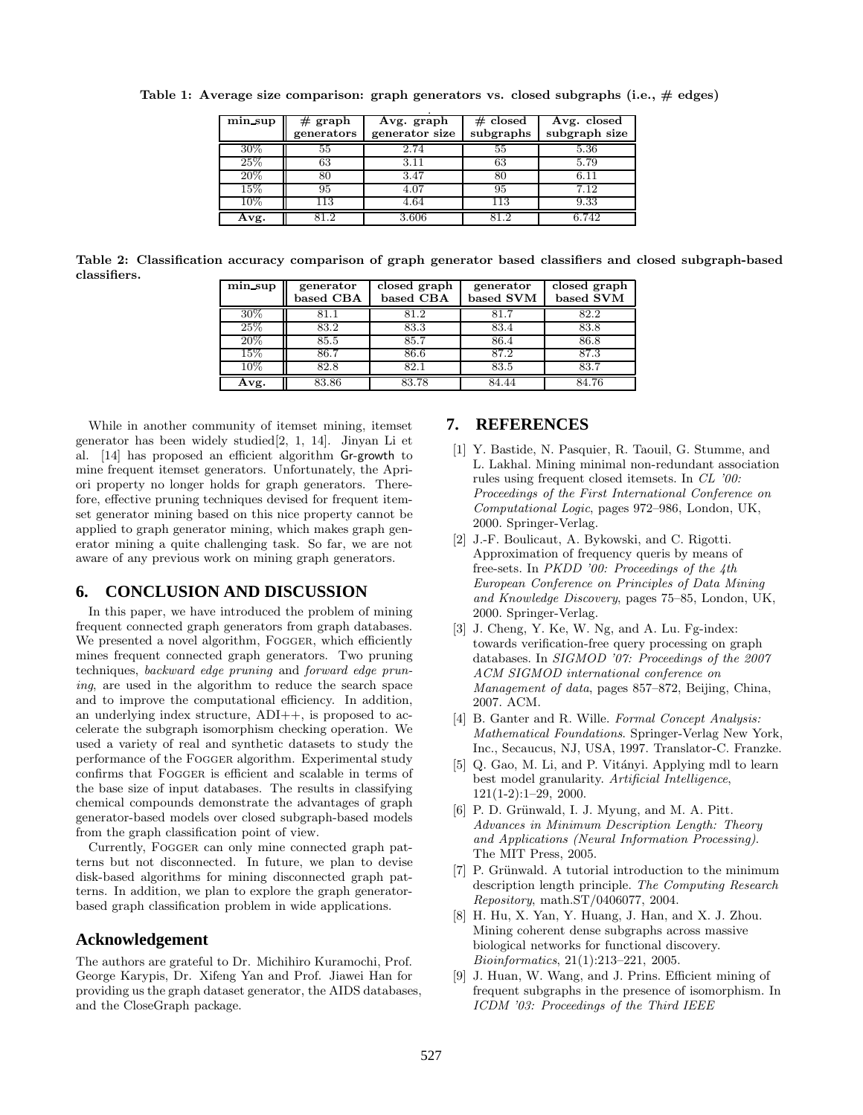| min_sup | $#$ graph<br>generators | Avg. graph<br>generator size | # closed<br>subgraphs | Avg. closed<br>subgraph size |
|---------|-------------------------|------------------------------|-----------------------|------------------------------|
| $30\%$  | 55                      | 2.74                         | 55                    | 5.36                         |
| 25%     | 63                      | 3.11                         | 63                    | 5.79                         |
| 20%     | 80                      | 3.47                         | 80                    | 6.11                         |
| $15\%$  | 95                      | 4.07                         | 95                    | 7.12                         |
| $10\%$  | 113                     | 4.64                         | 113                   | 9.33                         |
| Avg.    | 81 2                    | 3.606                        | 81 2                  | 6.742                        |

Table 1: Average size comparison: graph generators vs. closed subgraphs (i.e.,  $\#$  edges)

Table 2: Classification accuracy comparison of graph generator based classifiers and closed subgraph-based classifiers.

| $\overline{\text{min}}$ sup | generator<br>based CBA | closed graph<br>based CBA | generator<br>based SVM | closed graph<br>based SVM |
|-----------------------------|------------------------|---------------------------|------------------------|---------------------------|
| $30\%$                      | 81.1                   | 81.2                      | 81.7                   | 82.2                      |
| 25%                         | 83.2                   | 83.3                      | 83.4                   | 83.8                      |
| 20%                         | 85.5                   | 85.7                      | 86.4                   | 86.8                      |
| $15\%$                      | 86.7                   | 86.6                      | 87.2                   | 87.3                      |
| $10\%$                      | 82.8                   | 82.1                      | 83.5                   | 83.7                      |
| Avg.                        | 83.86                  | 83.78                     | 84.44                  | 84.76                     |

While in another community of itemset mining, itemset generator has been widely studied[2, 1, 14]. Jinyan Li et al. [14] has proposed an efficient algorithm Gr-growth to mine frequent itemset generators. Unfortunately, the Apriori property no longer holds for graph generators. Therefore, effective pruning techniques devised for frequent itemset generator mining based on this nice property cannot be applied to graph generator mining, which makes graph generator mining a quite challenging task. So far, we are not aware of any previous work on mining graph generators.

# **6. CONCLUSION AND DISCUSSION**

In this paper, we have introduced the problem of mining frequent connected graph generators from graph databases. We presented a novel algorithm, FOGGER, which efficiently mines frequent connected graph generators. Two pruning techniques, backward edge pruning and forward edge pruning, are used in the algorithm to reduce the search space and to improve the computational efficiency. In addition, an underlying index structure, ADI++, is proposed to accelerate the subgraph isomorphism checking operation. We used a variety of real and synthetic datasets to study the performance of the FOGGER algorithm. Experimental study confirms that Fogger is efficient and scalable in terms of the base size of input databases. The results in classifying chemical compounds demonstrate the advantages of graph generator-based models over closed subgraph-based models from the graph classification point of view.

Currently, FOGGER can only mine connected graph patterns but not disconnected. In future, we plan to devise disk-based algorithms for mining disconnected graph patterns. In addition, we plan to explore the graph generatorbased graph classification problem in wide applications.

# **Acknowledgement**

The authors are grateful to Dr. Michihiro Kuramochi, Prof. George Karypis, Dr. Xifeng Yan and Prof. Jiawei Han for providing us the graph dataset generator, the AIDS databases, and the CloseGraph package.

# **7. REFERENCES**

- [1] Y. Bastide, N. Pasquier, R. Taouil, G. Stumme, and L. Lakhal. Mining minimal non-redundant association rules using frequent closed itemsets. In CL '00: Proceedings of the First International Conference on Computational Logic, pages 972–986, London, UK, 2000. Springer-Verlag.
- [2] J.-F. Boulicaut, A. Bykowski, and C. Rigotti. Approximation of frequency queris by means of free-sets. In PKDD '00: Proceedings of the 4th European Conference on Principles of Data Mining and Knowledge Discovery, pages 75–85, London, UK, 2000. Springer-Verlag.
- [3] J. Cheng, Y. Ke, W. Ng, and A. Lu. Fg-index: towards verification-free query processing on graph databases. In SIGMOD '07: Proceedings of the 2007 ACM SIGMOD international conference on Management of data, pages 857–872, Beijing, China, 2007. ACM.
- [4] B. Ganter and R. Wille. Formal Concept Analysis: Mathematical Foundations. Springer-Verlag New York, Inc., Secaucus, NJ, USA, 1997. Translator-C. Franzke.
- [5] Q. Gao, M. Li, and P. Vitányi. Applying mdl to learn best model granularity. Artificial Intelligence, 121(1-2):1–29, 2000.
- $[6]$  P. D. Grünwald, I. J. Myung, and M. A. Pitt. Advances in Minimum Description Length: Theory and Applications (Neural Information Processing). The MIT Press, 2005.
- [7] P. Grünwald. A tutorial introduction to the minimum description length principle. The Computing Research Repository, math.ST/0406077, 2004.
- [8] H. Hu, X. Yan, Y. Huang, J. Han, and X. J. Zhou. Mining coherent dense subgraphs across massive biological networks for functional discovery. Bioinformatics, 21(1):213–221, 2005.
- [9] J. Huan, W. Wang, and J. Prins. Efficient mining of frequent subgraphs in the presence of isomorphism. In ICDM '03: Proceedings of the Third IEEE